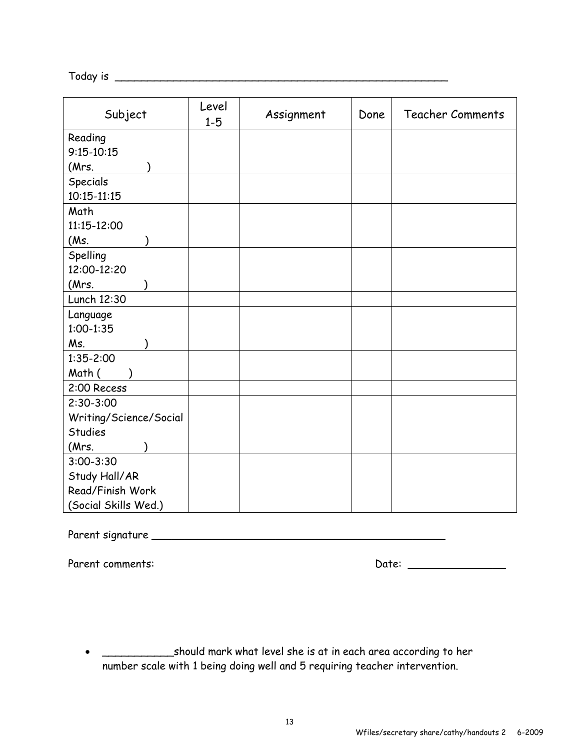Today is \_\_\_\_\_\_\_\_\_\_\_\_\_\_\_\_\_\_\_\_\_\_\_\_\_\_\_\_\_\_\_\_\_\_\_\_\_\_\_\_\_\_\_\_\_\_\_\_\_\_\_

| Subject                | Level<br>$1 - 5$ | Assignment | Done | <b>Teacher Comments</b> |
|------------------------|------------------|------------|------|-------------------------|
| Reading                |                  |            |      |                         |
| $9:15 - 10:15$         |                  |            |      |                         |
| (Mrs.                  |                  |            |      |                         |
| Specials               |                  |            |      |                         |
| $10:15 - 11:15$        |                  |            |      |                         |
| Math                   |                  |            |      |                         |
| 11:15-12:00            |                  |            |      |                         |
| (Ms.                   |                  |            |      |                         |
| Spelling               |                  |            |      |                         |
| 12:00-12:20            |                  |            |      |                         |
| (Mrs.                  |                  |            |      |                         |
| Lunch 12:30            |                  |            |      |                         |
| Language               |                  |            |      |                         |
| $1:00-1:35$            |                  |            |      |                         |
| Ms.                    |                  |            |      |                         |
| $1:35 - 2:00$          |                  |            |      |                         |
| Math (                 |                  |            |      |                         |
| 2:00 Recess            |                  |            |      |                         |
| $2:30-3:00$            |                  |            |      |                         |
| Writing/Science/Social |                  |            |      |                         |
| <b>Studies</b>         |                  |            |      |                         |
| (Mrs.                  |                  |            |      |                         |
| $3:00 - 3:30$          |                  |            |      |                         |
| Study Hall/AR          |                  |            |      |                         |
| Read/Finish Work       |                  |            |      |                         |
| (Social Skills Wed.)   |                  |            |      |                         |

Parent signature \_\_\_\_\_\_\_\_\_\_\_\_\_\_\_\_\_\_\_\_\_\_\_\_\_\_\_\_\_\_\_\_\_\_\_\_\_\_\_\_\_\_\_\_\_

Parent comments: Note: 2008 and 2012 and 2012 and 2012 and 2012 and 2012 and 2012 and 2012 and 2012 and 2012 and 2013 and 2013 and 2013 and 2013 and 2013 and 2013 and 2013 and 2013 and 2013 and 2013 and 2013 and 2013 and 2

 \_\_\_\_\_\_\_\_\_\_\_should mark what level she is at in each area according to her number scale with 1 being doing well and 5 requiring teacher intervention.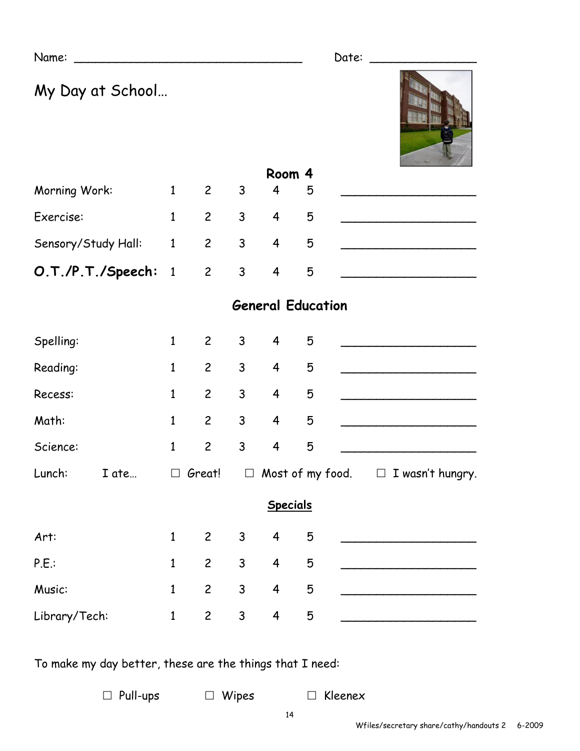Name: \_\_\_\_\_\_\_\_\_\_\_\_\_\_\_\_\_\_\_\_\_\_\_\_\_\_\_\_\_\_\_\_ Date: \_\_\_\_\_\_\_\_\_\_\_\_\_\_\_

My Day at School…



| Morning Work:                  | $1 \quad 2 \quad 3$         | $\overline{4}$ | 5 |  |
|--------------------------------|-----------------------------|----------------|---|--|
| Exercise:                      | $1 \quad 2 \quad 3 \quad 4$ |                | 5 |  |
| Sensory/Study Hall: 1 2 3 4 5  |                             |                |   |  |
| <b>O.T./P.T./Speech:</b> 1 2 3 |                             |                | 5 |  |

## **General Education**

| Spelling:     |       | $\mathbf{1}$ | $\overline{2}$ | 3 <sup>1</sup> | $\overline{4}$          | 5 |                                             |
|---------------|-------|--------------|----------------|----------------|-------------------------|---|---------------------------------------------|
| Reading:      |       | $\mathbf{1}$ | $\overline{c}$ | $\mathsf{3}$   | $\overline{4}$          | 5 |                                             |
| Recess:       |       | $\mathbf{1}$ | $\overline{c}$ | $\mathsf{3}$   | $\overline{4}$          | 5 |                                             |
| Math:         |       | $\mathbf{1}$ | $\overline{2}$ | 3              | $\overline{4}$          | 5 |                                             |
| Science:      |       | $\mathbf{1}$ | $\overline{c}$ | $\mathsf{3}$   | $\overline{4}$          | 5 |                                             |
| Lunch:        | I ate |              | $\Box$ Great!  | $\Box$         |                         |   | Most of my food. $\square$ I wasn't hungry. |
|               |       |              |                |                | <b>Specials</b>         |   |                                             |
| Art:          |       | $\mathbf{1}$ | $\mathbf{2}$   | $\mathsf{3}$   | $\overline{4}$          | 5 |                                             |
| P.E.          |       | $\mathbf{1}$ | $\overline{c}$ | $\mathsf{3}$   | $\overline{\mathbf{4}}$ | 5 |                                             |
| Music:        |       | $\mathbf{1}$ | $\overline{2}$ | $\mathsf{3}$   | $\overline{4}$          | 5 |                                             |
| Library/Tech: |       | $\mathbf 1$  | $\overline{c}$ | 3              | $\overline{\mathbf{4}}$ | 5 |                                             |

To make my day better, these are the things that I need:

 $\Box$  Pull-ups  $\Box$  Wipes  $\Box$  Kleenex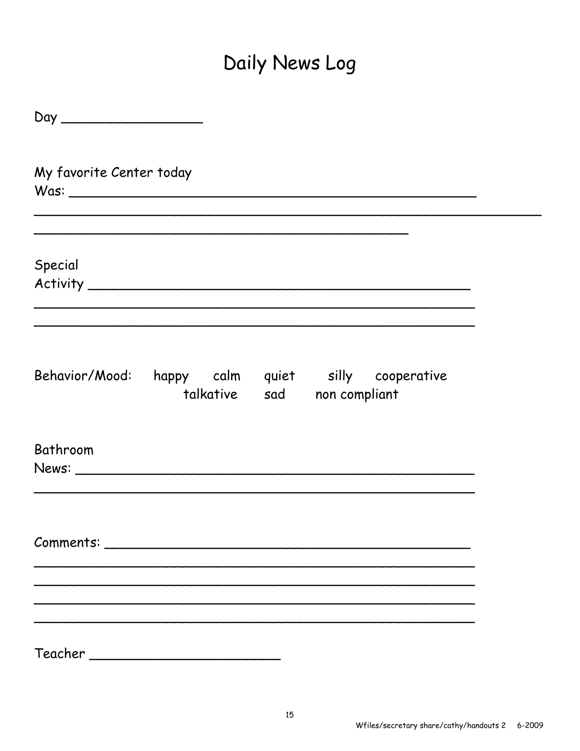## Daily News Log

| My favorite Center today |  |                                                                   |  |
|--------------------------|--|-------------------------------------------------------------------|--|
| Special                  |  |                                                                   |  |
| Behavior/Mood:           |  | happy calm quiet silly cooperative<br>talkative sad non compliant |  |
| Bathroom                 |  |                                                                   |  |
|                          |  |                                                                   |  |
|                          |  |                                                                   |  |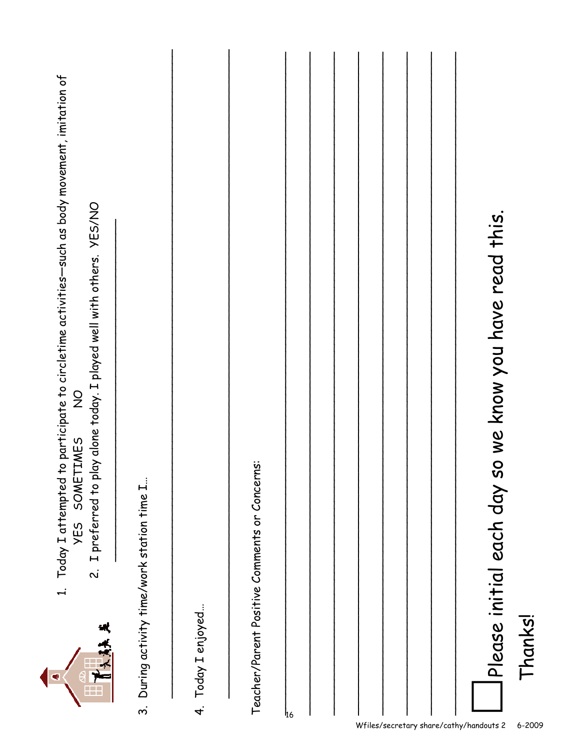| 1. Today I attempted to participate to circletime activities—such as body movement, imitation of<br>2. I preferred to play alone today. I played well with others. YES/NO<br>$\frac{0}{2}$<br><b>SOMETIMES</b><br>YES<br>大夫夫<br>$\bullet$<br>$\frac{1}{1}$ |  |
|------------------------------------------------------------------------------------------------------------------------------------------------------------------------------------------------------------------------------------------------------------|--|
| 3. During activity time/work station time I                                                                                                                                                                                                                |  |
| 4. Today I enjoyed                                                                                                                                                                                                                                         |  |
| Teacher/Parent Positive Comments or Concerns:                                                                                                                                                                                                              |  |
| <sup>1</sup> 16                                                                                                                                                                                                                                            |  |
|                                                                                                                                                                                                                                                            |  |
|                                                                                                                                                                                                                                                            |  |
|                                                                                                                                                                                                                                                            |  |
| Please initial each day so we know you have read this.<br>Thanks!                                                                                                                                                                                          |  |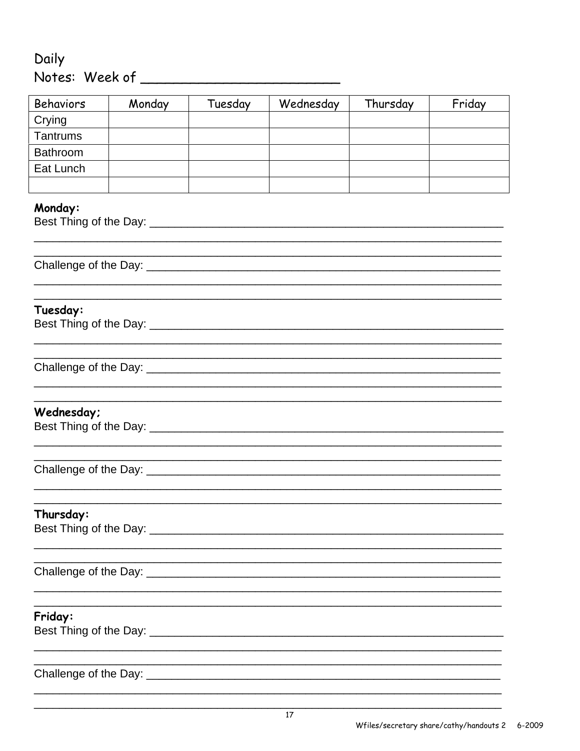## Daily

| <b>Behaviors</b> | Monday | Tuesday | Wednesday | Thursday | Friday |
|------------------|--------|---------|-----------|----------|--------|
| Crying           |        |         |           |          |        |
| Tantrums         |        |         |           |          |        |
| <b>Bathroom</b>  |        |         |           |          |        |
| Eat Lunch        |        |         |           |          |        |
|                  |        |         |           |          |        |
| Monday:          |        |         |           |          |        |
|                  |        |         |           |          |        |
| Tuesday:         |        |         |           |          |        |
|                  |        |         |           |          |        |
| Wednesday;       |        |         |           |          |        |
|                  |        |         |           |          |        |
| Thursday:        |        |         |           |          |        |
|                  |        |         |           |          |        |
| Friday:          |        |         |           |          |        |
|                  |        |         |           |          |        |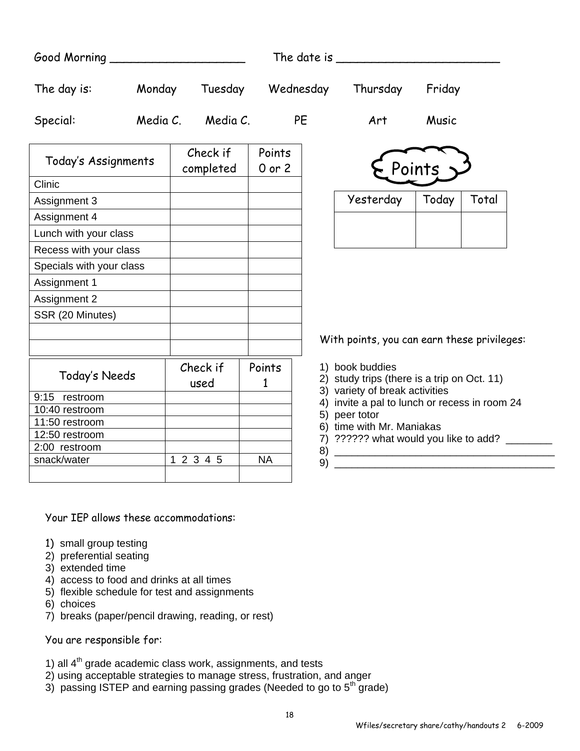|                          |          |                       |                      |           | The date is $\frac{1}{2}$                                                   |        |       |
|--------------------------|----------|-----------------------|----------------------|-----------|-----------------------------------------------------------------------------|--------|-------|
| The day is:              | Monday   | Tuesday               |                      | Wednesday | Thursday                                                                    | Friday |       |
| Special:                 | Media C. | Media C.              |                      | PE        | Art                                                                         | Music  |       |
| Today's Assignments      |          | Check if<br>completed | Points<br>$0$ or $2$ |           |                                                                             | Points |       |
| Clinic                   |          |                       |                      |           |                                                                             |        |       |
| Assignment 3             |          |                       |                      |           | Yesterday                                                                   | Today  | Total |
| Assignment 4             |          |                       |                      |           |                                                                             |        |       |
| Lunch with your class    |          |                       |                      |           |                                                                             |        |       |
| Recess with your class   |          |                       |                      |           |                                                                             |        |       |
| Specials with your class |          |                       |                      |           |                                                                             |        |       |
| Assignment 1             |          |                       |                      |           |                                                                             |        |       |
| Assignment 2             |          |                       |                      |           |                                                                             |        |       |
| SSR (20 Minutes)         |          |                       |                      |           |                                                                             |        |       |
|                          |          |                       |                      |           |                                                                             |        |       |
|                          |          |                       |                      |           | With points, you can earn these privileges:                                 |        |       |
|                          |          | Check if              | Points               |           | 1) book buddies                                                             |        |       |
| Today's Needs            |          | used                  | $\mathbf{1}$         |           | 2) study trips (there is a trip on Oct. 11)                                 |        |       |
| 9:15 restroom            |          |                       |                      |           | 3) variety of break activities                                              |        |       |
| 10:40 restroom           |          |                       |                      |           | 4) invite a pal to lunch or recess in room 24                               |        |       |
| 11:50 restroom           |          |                       |                      |           | 5) peer totor                                                               |        |       |
| 12:50 restroom           |          |                       |                      |           | 6) time with Mr. Maniakas<br>7) ?????? what would you like to add? ________ |        |       |
| 2:00 restroom            |          |                       |                      |           |                                                                             |        |       |
|                          |          | 1 2 3 4 5             | <b>NA</b>            | 9)        |                                                                             |        |       |

Your IEP allows these accommodations:

- 1) small group testing
- 2) preferential seating
- 3) extended time
- 4) access to food and drinks at all times
- 5) flexible schedule for test and assignments
- 6) choices
- 7) breaks (paper/pencil drawing, reading, or rest)

You are responsible for:

- 1) all  $4<sup>th</sup>$  grade academic class work, assignments, and tests
- 2) using acceptable strategies to manage stress, frustration, and anger
- 3) passing ISTEP and earning passing grades (Needed to go to  $5<sup>th</sup>$  grade)

18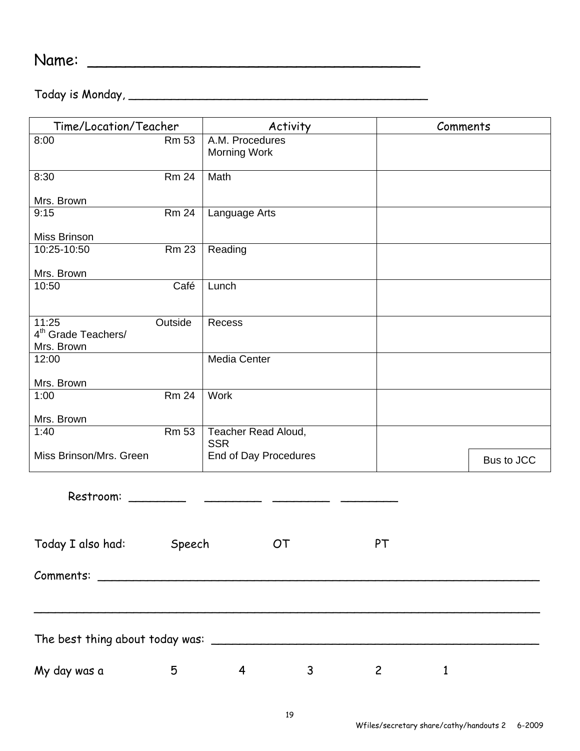Name: \_\_\_\_\_\_\_\_\_\_\_\_\_\_\_\_\_\_\_\_\_\_\_\_\_\_\_\_\_\_\_\_\_\_\_

Today is Monday, \_\_\_\_\_\_\_\_\_\_\_\_\_\_\_\_\_\_\_\_\_\_\_\_\_\_\_\_\_\_\_\_\_\_\_\_\_\_\_\_\_\_

| Time/Location/Teacher                               |              | Activity                               |              | Comments     |            |  |  |
|-----------------------------------------------------|--------------|----------------------------------------|--------------|--------------|------------|--|--|
| 8:00                                                | <b>Rm 53</b> | A.M. Procedures<br><b>Morning Work</b> |              |              |            |  |  |
| 8:30                                                | <b>Rm 24</b> | Math                                   |              |              |            |  |  |
| Mrs. Brown                                          |              |                                        |              |              |            |  |  |
| 9:15                                                | <b>Rm 24</b> | Language Arts                          |              |              |            |  |  |
| Miss Brinson                                        |              |                                        |              |              |            |  |  |
| 10:25-10:50                                         | <b>Rm 23</b> | Reading                                |              |              |            |  |  |
| Mrs. Brown                                          |              |                                        |              |              |            |  |  |
| 10:50                                               | Café         | Lunch                                  |              |              |            |  |  |
| 11:25<br>Outside<br>4 <sup>th</sup> Grade Teachers/ |              | Recess                                 |              |              |            |  |  |
| Mrs. Brown                                          |              |                                        |              |              |            |  |  |
| 12:00                                               |              | <b>Media Center</b>                    |              |              |            |  |  |
| Mrs. Brown                                          |              |                                        |              |              |            |  |  |
| 1:00                                                | <b>Rm 24</b> | Work                                   |              |              |            |  |  |
| Mrs. Brown                                          |              |                                        |              |              |            |  |  |
| 1:40                                                | <b>Rm 53</b> | Teacher Read Aloud,<br><b>SSR</b>      |              |              |            |  |  |
| Miss Brinson/Mrs. Green                             |              | End of Day Procedures                  |              |              | Bus to JCC |  |  |
| Restroom:                                           |              |                                        |              |              |            |  |  |
|                                                     |              |                                        |              |              |            |  |  |
| Today I also had: Speech                            |              | OT                                     | PT           |              |            |  |  |
|                                                     |              |                                        |              |              |            |  |  |
|                                                     |              |                                        |              |              |            |  |  |
|                                                     |              |                                        |              |              |            |  |  |
| My day was a<br>5                                   |              | $4\overline{ }$<br>$\mathbf{3}$        | $\mathbf{2}$ | $\mathbf{1}$ |            |  |  |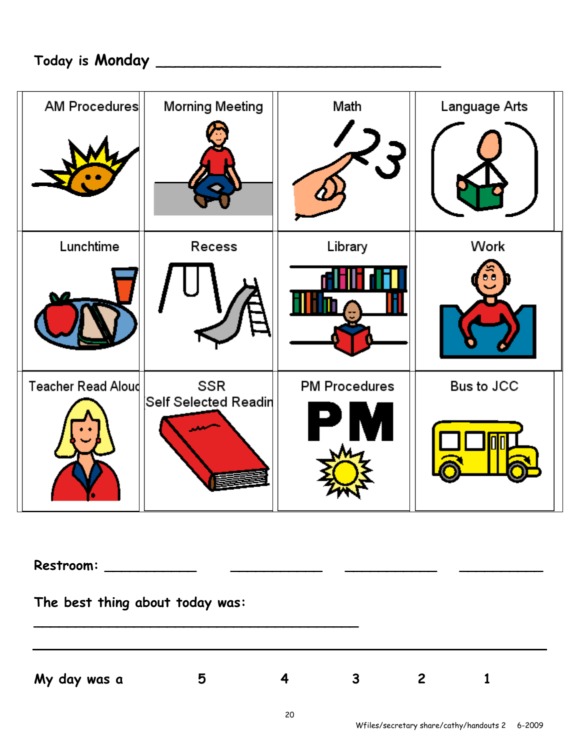| <b>AM Procedures</b>      | <b>Morning Meeting</b> | Math                 | Language Arts |
|---------------------------|------------------------|----------------------|---------------|
|                           |                        |                      |               |
| Lunchtime                 | Recess                 | Library              | Work          |
|                           |                        |                      |               |
| <b>Teacher Read Aloud</b> | SSR                    | <b>PM Procedures</b> | Bus to JCC    |
|                           | Self Selected Readin   |                      |               |

**Restroom: \_\_\_\_\_\_\_\_\_\_\_ \_\_\_\_\_\_\_\_\_\_\_ \_\_\_\_\_\_\_\_\_\_\_ \_\_\_\_\_\_\_\_\_\_** 

**The best thing about today was:** 

**My day was a 5 4 3 2 1** 

**\_\_\_\_\_\_\_\_\_\_\_\_\_\_\_\_\_\_\_\_\_\_\_\_\_\_\_\_\_\_\_\_\_\_\_\_\_\_\_**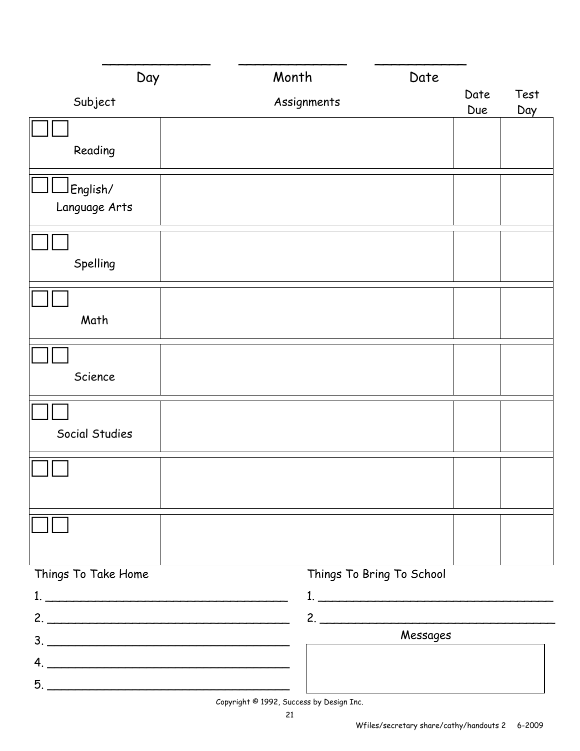| Day                                 | Month                                   | Date                      |             |             |
|-------------------------------------|-----------------------------------------|---------------------------|-------------|-------------|
| Subject                             | Assignments                             |                           | Date<br>Due | Test<br>Day |
|                                     |                                         |                           |             |             |
| Reading                             |                                         |                           |             |             |
| English/                            |                                         |                           |             |             |
| Language Arts                       |                                         |                           |             |             |
|                                     |                                         |                           |             |             |
| Spelling                            |                                         |                           |             |             |
|                                     |                                         |                           |             |             |
| Math                                |                                         |                           |             |             |
|                                     |                                         |                           |             |             |
| Science                             |                                         |                           |             |             |
|                                     |                                         |                           |             |             |
| Social Studies                      |                                         |                           |             |             |
|                                     |                                         |                           |             |             |
|                                     |                                         |                           |             |             |
|                                     |                                         |                           |             |             |
|                                     |                                         |                           |             |             |
| Things To Take Home                 |                                         | Things To Bring To School |             |             |
|                                     |                                         |                           |             |             |
| $2.$ $\overline{\phantom{a}}$<br>3. |                                         | 2.<br>Messages            |             |             |
| 4.                                  |                                         |                           |             |             |
| 5.                                  | Convright © 1992, Success by Design The |                           |             |             |

Copyright © 1992, Success by Design Inc.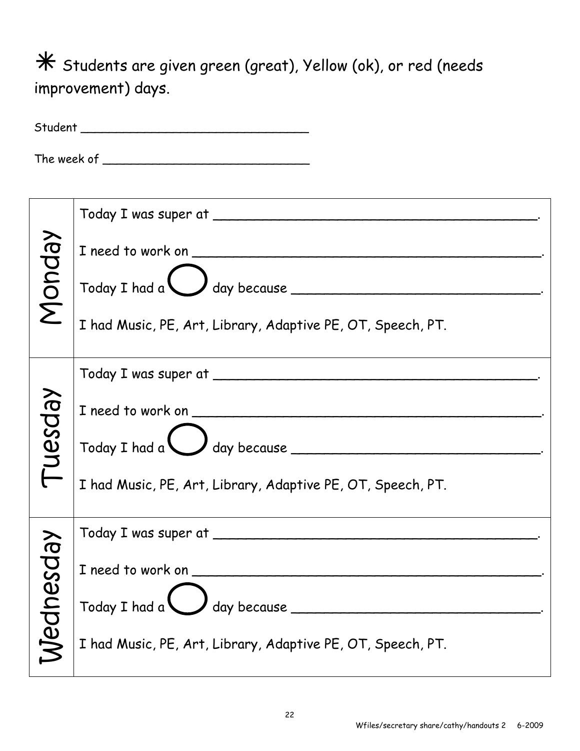$*$  Students are given green (great), Yellow (ok), or red (needs improvement) days.

| Monday   | $\frac{1}{2}$ Today I had a $\frac{1}{2}$ day because<br>I had Music, PE, Art, Library, Adaptive PE, OT, Speech, PT. |
|----------|----------------------------------------------------------------------------------------------------------------------|
| Nesday   | $\frac{1}{2}$ Today I had a $\frac{1}{2}$ day because<br>I had Music, PE, Art, Library, Adaptive PE, OT, Speech, PT. |
| Mednesda | I need to work on<br>day because _<br>Today I had a<br>I had Music, PE, Art, Library, Adaptive PE, OT, Speech, PT.   |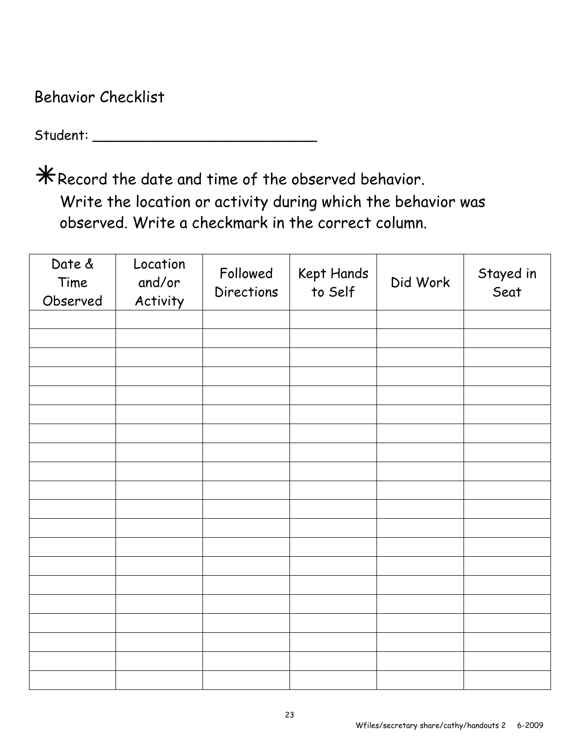Behavior Checklist

Student: \_\_\_\_\_\_\_\_\_\_\_\_\_\_\_\_\_\_\_\_\_\_\_\_\_\_\_

 $*$  Record the date and time of the observed behavior. Write the location or activity during which the behavior was observed. Write a checkmark in the correct column.

| Date &<br>Time<br>Observed | Location<br>and/or<br>Activity | Followed<br>Directions | Kept Hands<br>to Self | Did Work | Stayed in<br>Seat |
|----------------------------|--------------------------------|------------------------|-----------------------|----------|-------------------|
|                            |                                |                        |                       |          |                   |
|                            |                                |                        |                       |          |                   |
|                            |                                |                        |                       |          |                   |
|                            |                                |                        |                       |          |                   |
|                            |                                |                        |                       |          |                   |
|                            |                                |                        |                       |          |                   |
|                            |                                |                        |                       |          |                   |
|                            |                                |                        |                       |          |                   |
|                            |                                |                        |                       |          |                   |
|                            |                                |                        |                       |          |                   |
|                            |                                |                        |                       |          |                   |
|                            |                                |                        |                       |          |                   |
|                            |                                |                        |                       |          |                   |
|                            |                                |                        |                       |          |                   |
|                            |                                |                        |                       |          |                   |
|                            |                                |                        |                       |          |                   |
|                            |                                |                        |                       |          |                   |
|                            |                                |                        |                       |          |                   |
|                            |                                |                        |                       |          |                   |
|                            |                                |                        |                       |          |                   |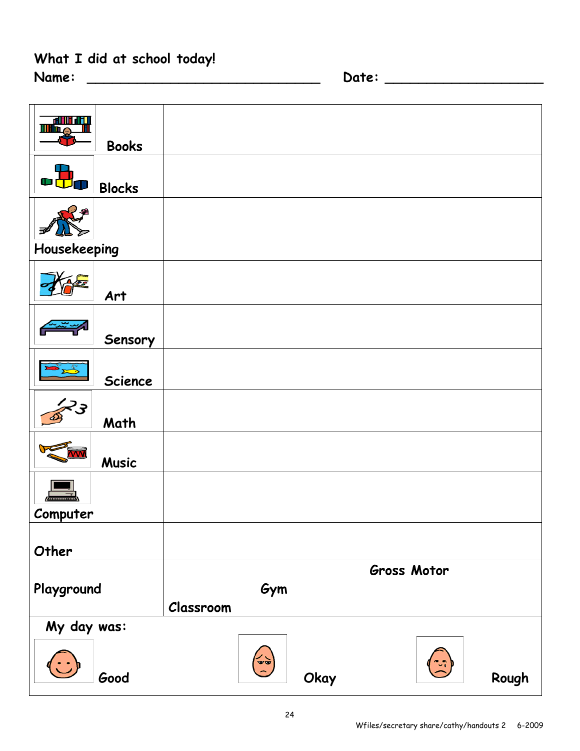## **What I did at school today!**

| Name: |  |
|-------|--|
|-------|--|

**Name: \_\_\_\_\_\_\_\_\_\_\_\_\_\_\_\_\_\_\_\_\_\_\_\_\_\_\_\_ Date: \_\_\_\_\_\_\_\_\_\_\_\_\_\_\_\_\_\_\_** 

| <b>THE ALL ALL</b> |               |           |                                 |      |             |       |
|--------------------|---------------|-----------|---------------------------------|------|-------------|-------|
|                    | <b>Books</b>  |           |                                 |      |             |       |
|                    | <b>Blocks</b> |           |                                 |      |             |       |
|                    |               |           |                                 |      |             |       |
|                    |               |           |                                 |      |             |       |
| Housekeeping       |               |           |                                 |      |             |       |
|                    | Art           |           |                                 |      |             |       |
|                    |               |           |                                 |      |             |       |
|                    | Sensory       |           |                                 |      |             |       |
|                    |               |           |                                 |      |             |       |
|                    | Science       |           |                                 |      |             |       |
|                    |               |           |                                 |      |             |       |
|                    | Math          |           |                                 |      |             |       |
|                    | <b>Music</b>  |           |                                 |      |             |       |
| $\overline{a}$     |               |           |                                 |      |             |       |
| Computer           |               |           |                                 |      |             |       |
|                    |               |           |                                 |      |             |       |
| Other              |               |           |                                 |      |             |       |
|                    |               |           |                                 |      | Gross Motor |       |
| Playground         |               |           | Gym                             |      |             |       |
|                    |               | Classroom |                                 |      |             |       |
| My day was:        |               |           |                                 |      |             |       |
|                    | Good          |           | $\left(\frac{1}{\alpha}\right)$ | Okay |             | Rough |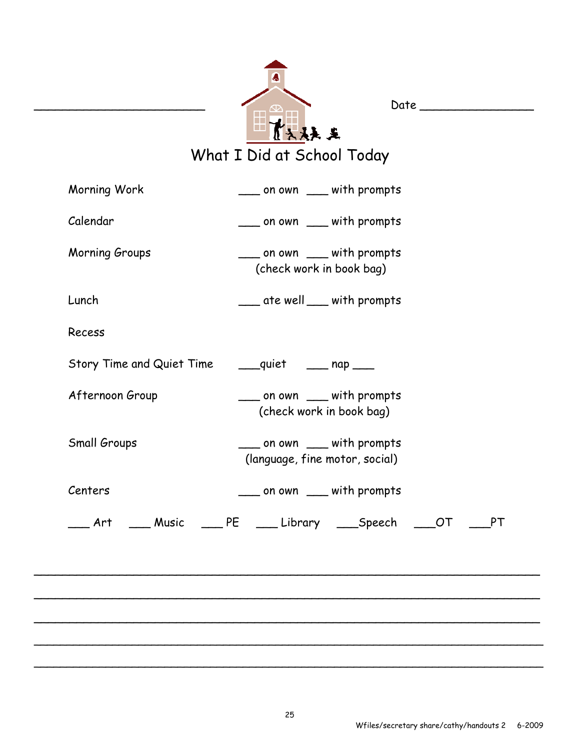| 大夫夫                        |
|----------------------------|
| What I Did at School Today |

| Morning Work    | ____ on own ____ with prompts                                         |
|-----------------|-----------------------------------------------------------------------|
| Calendar        | ____ on own ____ with prompts                                         |
| Morning Groups  | ____ on own ____ with prompts<br>(check work in book bag)             |
| Lunch           | ___ ate well ___ with prompts                                         |
| Recess          |                                                                       |
|                 | Story Time and Quiet Time _______ quiet ______ nap ____               |
| Afternoon Group | ___ on own ___ with prompts<br>(check work in book bag)               |
| Small Groups    | ____ on own ____ with prompts<br>(language, fine motor, social)       |
| Centers         | ____ on own ____ with prompts                                         |
|                 | __ Art ____ Music ____ PE ____ Library ____Speech ____OT<br><b>PT</b> |
|                 |                                                                       |
|                 |                                                                       |
|                 |                                                                       |
|                 |                                                                       |

\_\_\_\_\_\_\_\_\_\_\_\_\_\_\_\_\_\_\_\_\_\_\_\_ Date \_\_\_\_\_\_\_\_\_\_\_\_\_\_\_\_

\_\_\_\_\_\_\_\_\_\_\_\_\_\_\_\_\_\_\_\_\_\_\_\_\_\_\_\_\_\_\_\_\_\_\_\_\_\_\_\_\_\_\_\_\_\_\_\_\_\_\_\_\_\_\_\_\_\_\_\_\_\_\_\_\_\_\_\_\_\_\_\_\_\_\_\_\_\_